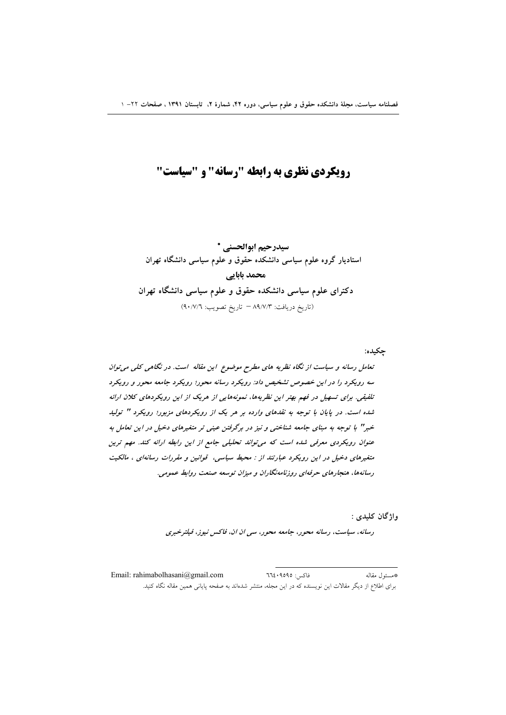# **رویکردی نظری به رابطه "رسانه" و "سیاست"**

سيدرحيم ابوالحسني \* استادیار گروه علوم سیاسی دانشکده حقوق و علوم سیاسی دانشگاه تهران محمد بابایی دکترای علوم سیاسی دانشکده حقوق و علوم سیاسی دانشگاه تهران (تاريخ دريافت: ٨٩/٧/٣ - تاريخ تصويب: ٩٠/٧/٦)

چکيده: تعامل رسانه و سیاست از نگاه نظریه های مطرح موضوع این مقاله است. در نگاهی کلی می توان سه رویکرد را در این خصوص تشخیص داد: رویکرد رسانه محور؛ رویکرد جامعه محور و رویکرد تلفیقی. برای تسهیل در فهم بهتر این نظریهها، نمونههایی از هریک از این رویکردهای کلان ارائه شده است. در پایان با توجه به نقدهای وارده بر هر یک از رویکردهای مزبور؛ رویکرد " تولید خبر" با توجه به مبنای جامعه شناختی و نیز در برگرفتن عینی تر متغیرهای دخیل در این تعامل به عنوان رویکردی معرفی شده است که می تواند تحلیلی جامع از این رابطه ارائه کند. مهم ترین متغیرهای دخیل در این رویکرد عبارتند از : محیط سیاسی، قوانین و مقررات رسانهای ، مالکیت رسانهها، هنجارهای حرفهای روزنامهنگاران و میزان توسعه صنعت روابط عمومی.

واژگان کليدي :

رسانه، سیاست، رسانه محور، جامعه محور، سی ان ان، فاکس نیوز، فیلترخبری

فاكس: ٩٥٩٥؛ ٦٦٤ \*مسئول مقاله Email: rahimabolhasani@gmail.com برای اطلاع از دیگر مقالات این نویسنده که در این مجله، منتشر شدهاند به صفحه پایانی همین مقاله نگاه کنید.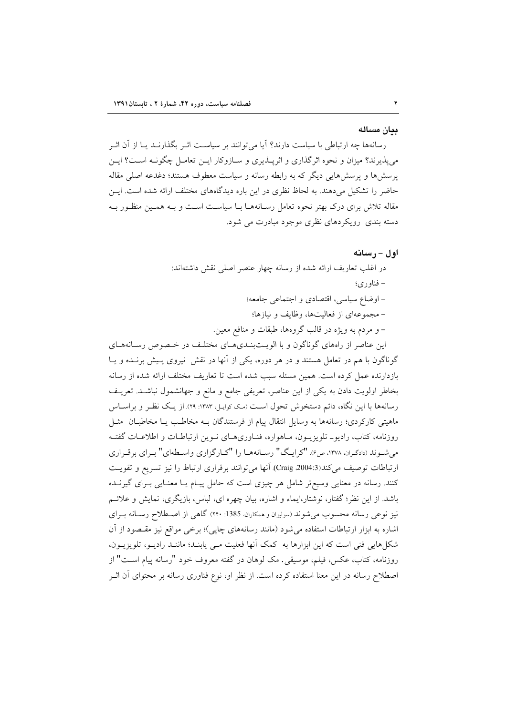#### يبان مساله

رسانهها چه ارتباطی با سیاست دارند؟ آیا می توانند بر سیاسـت اثـر بگذارنــد یــا از آن اثــر می پذیرند؟ میزان و نحوه اثرگذاری و اثرپــذیری و ســازوکار ایــن تعامــل چگونــه اســت؟ ایــن پرسشها و پرسشهایی دیگر که به رابطه رسانه و سیاست معطوف هستند؛ دغدعه اصلی مقاله حاضر را تشکیل میدهند. به لحاظ نظری در این باره دیدگاههای مختلف ارائه شده است. ایــن مقاله تلاش برای درک بهتر نحوه تعامل رسـانههـا بـا سیاسـت اسـت و بـه همـین منظـور بـه دسته بندی رویکردهای نظری موجود مبادرت می شود.

### اول – رسانه

در اغلب تعاريف ارائه شده از رسانه چهار عنصر اصلی نقش داشتهاند: – فناوري؛ - اوضاع سياسي، اقتصادي و اجتماعي جامعه؛ – مجموعهای از فعالیتها، وظایف و نیازها؛ – و مردم به ويژه در قالب گروهها، طبقات و منافع معين.

این عناصر از راههای گوناگون و با الویـتبنـدیهـای مختلـف در خـصوص رسـانههـای گوناگون با هم در تعامل هستند و در هر دوره، یکی از آنها در نقش نیروی پـیش برنـده و یـا بازدارنده عمل کرده است. همین مسئله سبب شده است تا تعاریف مختلف ارائه شده از رسانه بخاطر اولويت دادن به يكي از اين عناصر، تعريفي جامع و مانع و جهانشمول نباشـد. تعريـف رسانهها با این نگاه، دائم دستخوش تحول است (مک کوایـل، ۱۳۸۳: ۲۹). از یـک نظـر و براسـاس ماهیتی کارکردی؛ رسانهها به وسایل انتقال پیام از فرستندگان بـه مخاطـب یـا مخاطبـان مثـل روزنامه، کتاب، رادیو\_ تلویزیـون، مـاهواره، فنـاوریهـای نـوین ارتباطـات و اطلاعـات گفتـه می شـوند (دادگـران، ۱۳۷۸، ص۶). "کرایـگ" رســانههــا را "کــارگزاری واســطهای" بــرای برقــراری ارتباطات توصيف مي كند(Craig .2004:3). أنها مي توانند برقراري ارتباط را نيز تسريع و تقويت کنند. رسانه در معنایی وسیع تر شامل هر چیزی است که حامل پیـام یـا معنـایی بـرای گیرنــده باشد. از این نظر؛ گفتار، نوشتار،ایماء و اشاره، بیان چهره ای، لباس، بازیگری، نمایش و علائـم نیز نوعی رسانه محسوب می شوند (سولیوان و همکاران، 1385: ۲۴۰) گاهی از اصطلاح رسـانه بـرای اشاره به ابزار ارتباطات استفاده می شود (مانند رسانههای چاپی)؛ برخی مواقع نیز مقـصود از آن شکل هایی فنی است که این ابزارها به کمک آنها فعلیت مـی پابنـد؛ ماننـد رادیـو، تلویزیـون، روزنامه، کتاب، عکس، فیلم، موسیقی ـ مک لوهان در گفته معروف خود "رسانه پیام اسـت" از اصطلاح رسانه در این معنا استفاده کرده است. از نظر او، نوع فناوری رسانه بر محتوای آن اثــر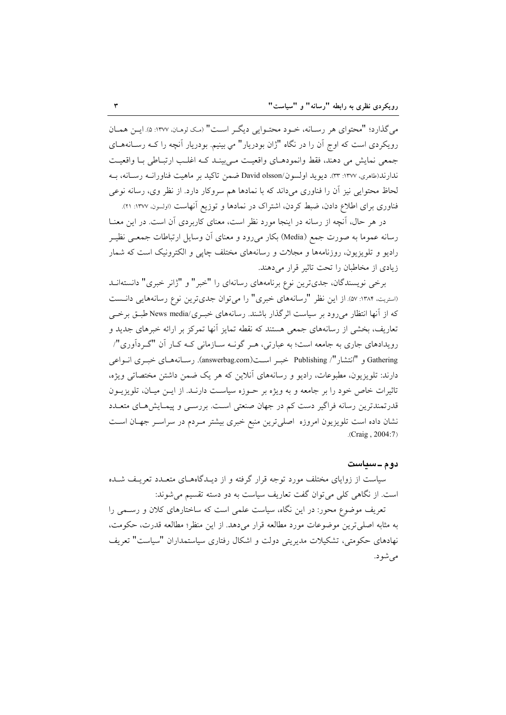مي گذارد؛ "محتواي هر رسـانه، خـود محتـوايي ديگـر اسـت" (مـک نومـان، ١٣٧٧: ۵). ايـن همـان رویکردی است که اوج آن را در نگاه "ژان بودریار" می بینیم. بودریار آنچه را کـه رسـانههـای جمعي نمايش مي دهند، فقط وانمودهـاي واقعيـت مـي بينـد كـه اغلـب ارتبـاطي بـا واقعيـت ندارند(طاهري، ١٣٧٧: ٣٣). ديويد اولسون/David olsson ضمن تاكيد بر ماهيت فناورانــه رســانه، بــه لحاظ محتوايي نيز آن را فناوري ميداند كه با نمادها هم سروكار دارد. از نظر وي، رسانه نوعي فناوری برای اطلاع دادن، ضبط کردن، اشتراک در نمادها و توزیع آنهاست (اولسون. ۱۳۷۷: ۲۱).

در هر حال، آنچه از رسانه در اینجا مورد نظر است، معنای کاربردی آن است. در این معنــا رسانه عموما به صورت جمع (Media) بکار می رود و معنای آن وسایل ارتباطات جمعـی نظیـر رادیو و تلویزیون، روزنامهها و مجلات و رسانههای مختلف چاپی و الکترونیک است که شمار زیادی از مخاطبان را تحت تاثیر قرار می دهند.

برخی نویسندگان، جدی ترین نوع برنامههای رسانهای را "خبر" و "ژانر خبری" دانستهانــد (استریت، ۱۳۸۴: ۵۷). از این نظر "رسانههای خبری" را می توان جدی ترین نوع رسانههایی دانست که از آنها انتظار می رود بر سیاست اثر گذار باشند. رسانههای خب و News media/ طبق برخبی تعاریف، بخشی از رسانههای جمعی هستند که نقطه تمایز آنها تمرکز بر ارائه خبرهای جدید و رویدادهای جاری به جامعه است؛ به عبارتی، هـر گونــه ســازمانی کــه کــار آن "گــر دآوری"/ Gathering و "انتشار"/ Publishing خبير است(answerbag.com). رسـانههـاي خبيري انــواعي دارند: تلویزیون، مطبوعات، رادیو و رسانههای آنلاین که هر یک ضمن داشتن مختصاتی ویژه، تاثیرات خاص خود را بر جامعه و به ویژه بر حـوزه سیاسـت دارنـد. از ایـن میـان، تلویزیـون قدرتمندترین رسانه فراگیر دست کم در جهان صنعتی است. بررسـی و پیمـایش۱حای متعــدد نشان داده است تلویزیون امروزه اصلی ترین منبع خبری بیشتر مـردم در سراسـر جهـان اسـت  $(Craig, 2004:7)$ 

#### دو ۾ ــ سياست

سیاست از زوایای مختلف مورد توجه قرار گرفته و از دیـدگاههــای متعــدد تعریــف شــده است. از نگاهی کلی می توان گفت تعاریف سیاست به دو دسته تقسیم می شوند:

تعریف موضوع محور: در این نگاه، سیاست علمی است که ساختارهای کلان و رسـمی را به مثابه اصلي ترين موضوعات مورد مطالعه قرار مي دهد. از اين منظر؛ مطالعه قدرت، حكومت، نهادهای حکومتی، تشکیلات مدیریتی دولت و اشکال رفتاری سیاستمداران "سیاست" تعریف می شو د.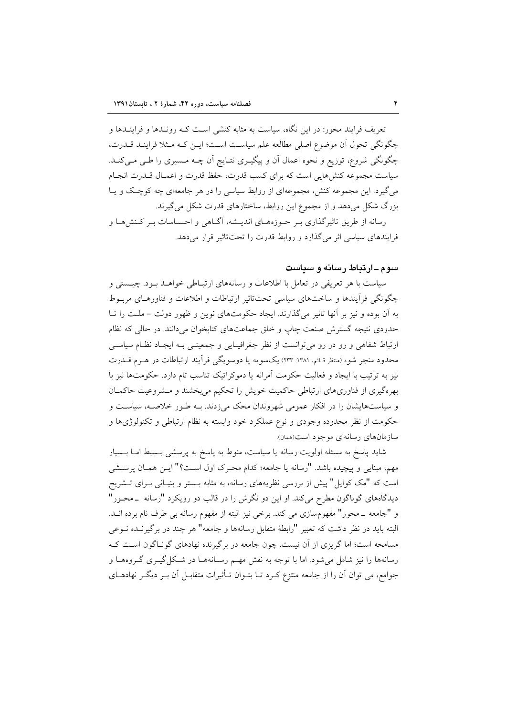تعریف فرایند محور: در این نگاه، سیاست به مثابه کنشی اسـت کــه رونــدها و فراینــدها و چگونگی تحول آن موضوع اصلی مطالعه علم سیاست است؛ این کـه مـثلا فراینـد قـدرت، چگونگی شروع، توزیع و نحوه اعمال اَن و پیگیـری نتـایج اَن چــه مــسیری را طــی مــیکنــد. سیاست مجموعه کنشهایی است که برای کسب قدرت، حفظ قدرت و اعمـال قــدرت انجـام می گیرد. این مجموعه کنش، مجموعهای از روابط سیاسی را در هر جامعهای چه کوچک و پـا بزرگ شکل میدهد و از مجموع این روابط، ساختارهای قدرت شکل میگیرند.

رسانه از طریق تاثیرگذاری بـر حـوزههـای اندیـشه، آگـاهی و احـساسات بـر کـنشهـا و فرایندهای سیاسی اثر می گذارد و روابط قدرت را تحت تاثیر قرار می دهد.

# سوم ـ ارتباط رسانه و سیاست

سیاست با هر تعریفی در تعامل با اطلاعات و رسانههای ارتبـاطی خواهــد بــود. چیــستی و چگونگی فرآیندها و ساختهای سیاسی تحتتاثیر ارتباطات و اطلاعات و فناورهـای مربـوط به آن بوده و نیز بر آنها تاثیر می گذارند. ایجاد حکومتهای نوین و ظهور دولت – ملـت را تــا حدودی نتیجه گسترش صنعت چاپ و خلق جماعتهای کتابخوان میدانند. در حالی که نظام ارتباط شفاهی و رو در رو می توانست از نظر جغرافیـایی و جمعیتـی بـه ایجـاد نظـام سیاسـی محدود منجر شود (منتظر قـائم، ١٣٨١: ٢٣٣) يكسويه يا دوسويگي فرأيند ارتباطات در هـرم قــدرت نیز به ترتیب با ایجاد و فعالیت حکومت آمرانه یا دموکراتیک تناسب تام دارد. حکومتها نیز با بهرهگیری از فناوریهای ارتباطی حاکمیت خویش را تحکیم میبخشند و مشروعیت حاکمان و سیاستهایشان را در افکار عمومی شهروندان محک میزدند. بـه طـور خلاصـه، سیاسـت و حکومت از نظر محدوده وجودی و نوع عملکرد خود وابسته به نظام ارتباطی و تکنولوژیها و سازمانهای رسانهای موجود است(همان).

شاید پاسخ به مسئله اولویت رسانه یا سیاست، منوط به پاسخ به پرسشی بـسیط امـا بـسیار مهم، مبنایی و پیچیده باشد. "رسانه یا جامعه؛ کدام محـرک اول اسـت؟" ایــن همــان پرســشی است که "مک کوایل" پیش از بررسی نظریههای رسانه، به مثابه بـستر و بنیـانی بـرای تــشریح دیدگاههای گوناگون مطرح میکند. او این دو نگرش را در قالب دو رویکرد "رسانه \_محـور" و "جامعه \_محور" مفهومسازي مي كند. برخي نيز البته از مفهوم رسانه بي طرف نام برده انــد. البته باید در نظر داشت که تعبیر "رابطهٔ متقابل رسانهها و جامعه" هر چند در برگیرنـده نــوعی مسامحه است؛ اما گریزی از آن نیست. چون جامعه در برگیرنده نهادهای گونـاگون اسـت کـه رسانهها را نیز شامل میشود. اما با توجه به نقش مهـم رسـانههـا در شـكل گیــری گــروههــا و جوامع، می توان اَن را از جامعه منتزع کـرد تـا بتـوان تـأثیرات متقابـل اَن بـر دیگـر نهادهـای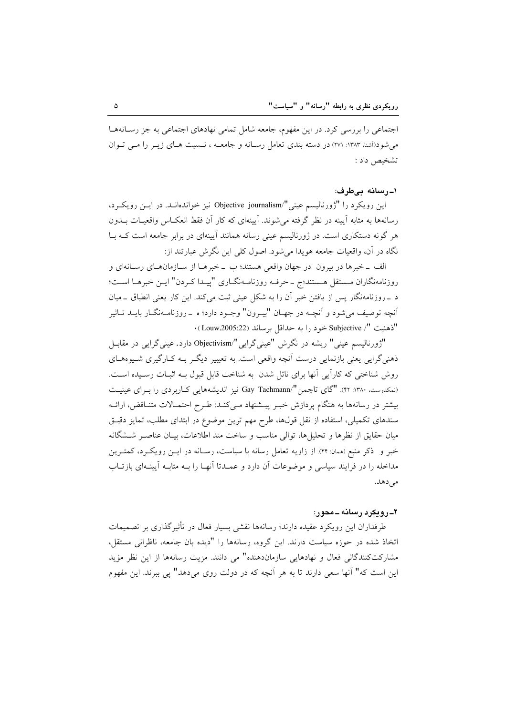اجتماعی را بررسی کرد. در این مفهوم، جامعه شامل تمامی نهادهای اجتماعی به جز رسـانههـا می شو د(أشنا، ۱۳۸۳: ۲۷۱) در دسته بندی تعامل رسانه و جامعــه ، نــسبت هــای زیــر را مــی تــوان تشخيص داد :

# ١۔رسانه بےطرف:

این رویکرد را "ژورنالیسم عینی"/Objective journalism نیز خواندهانـد. در ایــن رویکـرد، رسانهها به مثابه آیینه در نظر گرفته می شوند. آیینهای که کار آن فقط انعکـاس واقعیـات بــدون هر گونه دستکاری است. در ژورنالیسم عینی رسانه همانند آیینهای در برابر جامعه است کـه بــا نگاه در آن، واقعیات جامعه هویدا می شود. اصول کلی این نگرش عبارتند از:

الف \_خبرها در بيرون ٍ در جهان واقعي هستند؛ ب \_خبرهـا از سـازمانهـاي رسـانهاي و روزنامهنگاران مستقل هستند؛ج \_ حرفه روزنامـهنگـاري "پيـدا كـردن" ايـن خبرهـا اسـت؛ د \_ روزنامهنگار پس از یافتن خبر آن را به شکل عینی ثبت میکند. این کار یعنی انطباق \_میان آنچه توصيف مي شود و آنچــه در جهــان "بيــرون" وجــود دارد؛ ه \_روزنامــهنگــار بايــد تــاثير "ذهنيت "/ Subjective خود را به حداقل برساند (Louw2005:22).

"ژورنالیسم عینی" ریشه در نگرش "عینیگرایی"/Objectivism دارد. عینیگرایی در مقابـل ذهني گرايي يعني بازنمايي درست اَنچه واقعي است. به تعييير ديگـر بــه کــارگيري شــيوههــاي روش شناختی که کاراًیی انها برای نائل شدن به شناخت قابل قبول بـه اثبـات رسـیده اسـت. (نمکدوست، ۱۳۸۰: ۴۲). "گای تاچمن"/Gay Tachmann نیز اندیشههایی کـاربردی را بـرای عینیـت بیشتر در رسانهها به هنگام پردازش خبـر پیـشنهاد مـیکنـد: طـرح احتمـالات متنـاقض، ارائـه سندهای تکمیلی، استفاده از نقل قولها، طرح مهم ترین موضوع در ابتدای مطلب، تمایز دقیـق ميان حقايق از نظرها و تحليلها، توالي مناسب و ساخت مند اطلاعات، بيـان عناصـر شــشگانه خبر و ذکر منبع (همان: ۴۴). از زاویه تعامل رسانه با سیاست، رسـانه در ایــن رویکــرد، کمتــرین مداخله را در فرایند سیاسی و موضوعات آن دارد و عمـدتا آنهـا را بــه مثابــه آیینــهای بازتــاب مي دهد.

### ۲ــ رویکړد رسانه ــ محور:

طرفداران این رویکرد عقیده دارند؛ رسانهها نقشی بسیار فعال در تأثیرگذاری بر تصمیمات اتخاذ شده در حوزه سیاست دارند. این گروه، رسانهها را "دیده بان جامعه، ناظرانی مستقل، مشاركتكنندگانى فعال و نهادهايى سازماندهنده" مى دانند. مزيت رسانهها از اين نظر مؤيد این است که" آنها سعی دارند تا به هر آنچه که در دولت روی میدهد" یی ببرند. این مفهوم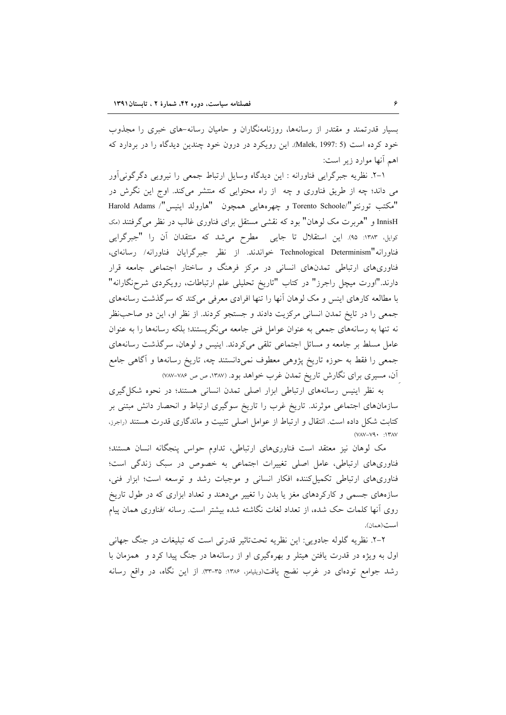بسیار قدرتمند و مقتدر از رسانهها، روزنامهنگاران و حامیان رسانه-های خبری را مجذوب خود کرده است (Malek, 1997: 5). این رویکرد در درون خود چندین دیدگاه را در بردارد که اهم أنها موارد زير است:

١-٢. نظریه جبرگرایی فناورانه : این دیدگاه وسایل ارتباط جمعی را نیرویی دگرگونیآور می داند؛ چه از طریق فناوری و چه از راه محتوایی که منتشر میکند. اوج این نگرش در "مكتب تورنتو"/Torento Schoole و چهرههايي همچون "هارولد اينيس"/ Harold Adams InnisH و "هربرت مک لوهان" بود که نقشی مستقل برای فناوری غالب در نظر می گرفتند (مک کوایل، ۱۳۸۳: ۹۵). این استقلال تا جایی ِ مطرح می شد که منتقدان آن را "جبرگرایی فناورانه"Technological Determinism خواندند. از نظر جبرگرایان فناورانه/ رسانهای، فناوریهای ارتباطی تمدنهای انسانی در مرکز فرهنگ و ساختار اجتماعی جامعه قرار دارند."اورت میچل راجرز" در کتاب "تاریخ تحلیلی علم ارتباطات، رویکردی شرحزگارانه" با مطالعه کارهای اینس و مک لوهان آنها را تنها افرادی معرفی میکند که سرگذشت رسانههای جمعی را در تایخ تمدن انسانی مرکزیت دادند و جستجو کردند. از نظر او، این دو صاحب نظر نه تنها به رسانههای جمعی به عنوان عوامل فنی جامعه می نگریستند؛ بلکه رسانهها را به عنوان عامل مسلط بر جامعه و مسائل اجتماعی تلقی می کردند. اینیس و لوهان، سرگذشت رسانههای جمعی را فقط به حوزه تاریخ پژوهی معطوف نمیدانستند چه، تاریخ رسانهها و آگاهی جامع آن، مسیری برای نگارش تاریخ تمدن غرب خواهد بود. (۱۳۸۷، ص ص ۷۸۶-۷۸۷)

به نظر اینیس رسانههای ارتباطی ابزار اصلی تمدن انسانی هستند؛ در نحوه شکل گیری سازمانهای اجتماعی موثرند. تاریخ غرب را تاریخ سوگیری ارتباط و انحصار دانش مبتنی بر کتابت شکل داده است. انتقال و ارتباط از عوامل اصلی تثبیت و ماندگاری قدرت هستند (راجرز،  $(VAV-V9 \cdot 1)$   $TAV$ 

مک لوهان نیز معتقد است فناوریهای ارتباطی، تداوم حواس پنجگانه انسان هستند؛ فناوریهای ارتباطی، عامل اصلی تغییرات اجتماعی به خصوص در سبک زندگی است؛ فناوریهای ارتباطی تکمیل کننده افکار انسانی و موجبات رشد و توسعه است؛ ابزار فنی، سازههای جسمی و کارکردهای مغز یا بدن را تغییر میدهند و تعداد ابزاری که در طول تاریخ روی آنها کلمات حک شده، از تعداد لغات نگاشته شده بیشتر است. رسانه /فناوری همان پیام است(همان).

۲–۲. نظریه گلوله جادویی: این نظریه تحتتاثیر قدرتی است که تبلیغات در جنگ جهانی اول به ویژه در قدرت یافتن هیتلر و بهرهگیری او از رسانهها در جنگ پیدا کرد و همزمان با رشد جوامع تودهای در غرب نضج یافت(ویلیامز، ۱۳۸۶: ۳۵-۳۳). از این نگاه، در واقع رسانه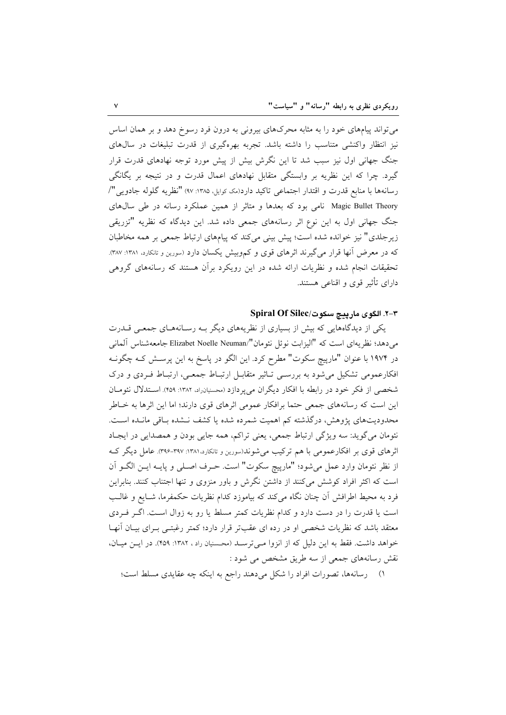میتواند پیامهای خود را به مثابه محرکهای بیرونی به درون فرد رسوخ دهد و بر همان اساس نیز انتظار واکنشی متناسب را داشته باشد. تجربه بهرهگیری از قدرت تبلیغات در سالهای جنگ جهانی اول نیز سبب شد تا این نگرش بیش از پیش مورد توجه نهادهای قدرت قرار گیرد. چرا که این نظریه بر وابستگی متقابل نهادهای اعمال قدرت و در نتیجه بر یگانگی رسانهها با منابع قدرت و اقتدار اجتماعی تاکید دارد(مک کوایل ۱۳۸۵: ۹۷) "نظریه گلوله جادویی"/ Magic Bullet Theory نامی بود که بعدها و متاثر از همین عملکرد رسانه در طی سالهای جنگ جهانی اول به این نوع اثر رسانههای جمعی داده شد. این دیدگاه که نظریه "تزریقی زیرجلدی" نیز خوانده شده است؛ پیش بینی میکند که پیامهای ارتباط جمعی بر همه مخاطبان که در معرض آنها قرار میگیرند اثرهای قوی و کموبیش یکسان دارد (سورین و تانکارد. ۱۳۸۱: ۳۸۷). تحقیقات انجام شده و نظریات ارائه شده در این رویکرد برآن هستند که رسانههای گروهی دارای تأثیر قوی و اقناعی هستند.

# ٣-٣. الكوى ماريبج سكوت/Spiral Of Silec

یکی از دیدگاههایی که بیش از بسیاری از نظریههای دیگر بـه رسـانههـای جمعـی قــدرت می دهد؛ نظریهای است که "الیزابت نوئل نئومان"/Elizabet Noelle Neuman جامعهشناس آلمانی در ۱۹۷۴ با عنوان "مارپیچ سکوت" مطرح کرد. این الگو در پاسخ به این پرسـش کـه چگونـه افکارعمومی تشکیل می شود به بررسمی تـاثیر متقابـل ارتبـاط جمعـی، ارتبـاط فـردی و درک شخصی از فکر خود در رابطه با افکار دیگران می پردازد (محسنیان راد، ۱۳۸۲: ۴۵۹). اسـتدلال نئومـان این است که رسانههای جمعی حتما برافکار عمومی اثرهای قوی دارند؛ اما این اثرها به خـاطر محدودیتهای پژوهش، درگذشته کم اهمیت شمرده شده یا کشف نـشده بـاقی مانـده اسـت. نئومان میگوید: سه ویژگی ارتباط جمعی، یعنی تراکم، همه جایی بودن و همصدایی در ایجاد اثرهای قوی بر افکارعمومی با هم ترکیب میشوند(سورین و تانکارد،۱۳۸۱: ۳۹۷-۳۹۶). عامل دیگر ک از نظر نئومان وارد عمل مي شود؛ "مارپيچ سكوت" است. حـرف اصـلي و پايــه ايــن الگــو آن است که اکثر افراد کوشش می کنند از داشتن نگرش و باور منزوی و تنها اجتناب کنند. بنابراین فرد به محیط اطرافش آن چنان نگاه میکند که بیاموزد کدام نظریات حکمفرما، شـایع و غالـب است یا قدرت را در دست دارد و کدام نظریات کمتر مسلط یا رو به زوال است. اگـر فـردی معتقد باشد که نظریات شخصی او در رده ای عقبتر قرار دارد؛ کمتر رغبتـی بـرای بیـان آنهـا خواهد داشت. فقط به این دلیل که از انزوا مبی ترسـد (محـسنیان راد ، ۱۳۸۲: ۴۵۹). در ایــن میــان، نقش رسانههای جمعی از سه طریق مشخص می شود :

١) رسانهها، تصورات افراد را شكل مى دهند راجع به اينكه چه عقايدى مسلط است؛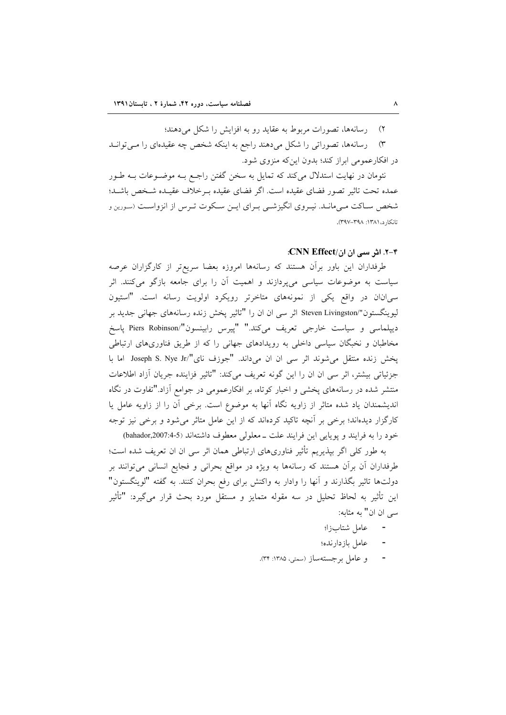۲) رسانهها، تصورات مربوط به عقاید رو به افزایش را شکل می دهند؛

۳) رسانهها، تصوراتی را شکل میدهند راجع به اینکه شخص چه عقیدهای را میتوانـد در افکارعمومی ابراز کند؛ بدون اینکه منزوی شود.

نئومان در نهایت استدلال میکند که تمایل به سخن گفتن راجـع بـه موضـوعات بـه طـور عمده تحت تاثیر تصور فضای عقیده است. اگر فضای عقیده بـرخلاف عقیـده شـخص باشـد؛ شخص سـاكت مـىمانـد. نيـروى انگيزشـى بـراى ايـن سـكوت تـرس از انزواسـت (سـورين و تانکار د، ۱۳۸۱: ۳۹۸-۳۹۷).

# ۲-۴. اثر سی ان ان/CNN Effect:

طرفداران این باور برآن هستند که رسانهها امروزه بعضا سریعتر از کارگزاران عرصه سیاست به موضوعات سیاسی میپردازند و اهمیت آن را برای جامعه بازگو میکنند. اثر سی انان در واقع یکی از نمونههای متاخرتر رویکرد اولویت رسانه است. "استیون لیوینگستون"/Steven Livingston اثر سی ان ان را "تاثیر یخش زنده رسانههای جهانی جدید بر ديپلماسي و سياست خارجي تعريف ميكند." "پيرس رابينسون"/Piers Robinson پاسخ مخاطبان و نخبگان سیاسی داخلی به رویدادهای جهانی را که از طریق فناوریهای ارتباطی يخش زنده منتقل مي شوند اثر سي ان ان مي داند. "جوزف ناي"/Joseph S. Nye Jr اما با جزئياتي بيشتر، اثر سي ان ان را اين گونه تعريف مي كند: "تاثير فزاينده جريان آزاد اطلاعات منتشر شده در رسانههای یخشی و اخبار کوتاه، بر افکارعمومی در جوامع آزاد."تفاوت در نگاه اندیشمندان یاد شده متاثر از زاویه نگاه آنها به موضوع است. برخی آن را از زاویه عامل یا کارگزار دیدهاند؛ برخی بر آنچه تاکید کردهاند که از این عامل متاثر میشود و برخی نیز توجه خود را به فرايند و يوپايي اين فرايند علت ـ معلولي معطوف داشتهاند (5-6:bahador,2007)

به طور کلی اگر بیذیریم تأثیر فناوریهای ارتباطی همان اثر سی ان ان تعریف شده است؛ طرفداران آن برآن هستند که رسانهها به ویژه در مواقع بحرانی و فجایع انسانی میتوانند بر دولتها تاثير بگذارند و آنها را وادار به واكنش براي رفع بحران كنند. به گفته "لوينگستون" این تأثیر به لحاظ تحلیل در سه مقوله متمایز و مستقل مورد بحث قرار می گیرد: "تأثیر سی ان ان" به مثابه:

- عامل شتابزا؛
- عامل بازدارنده؛
- و عامل بر جستهساز (سمتي، ۱۳۸۵: ۳۴).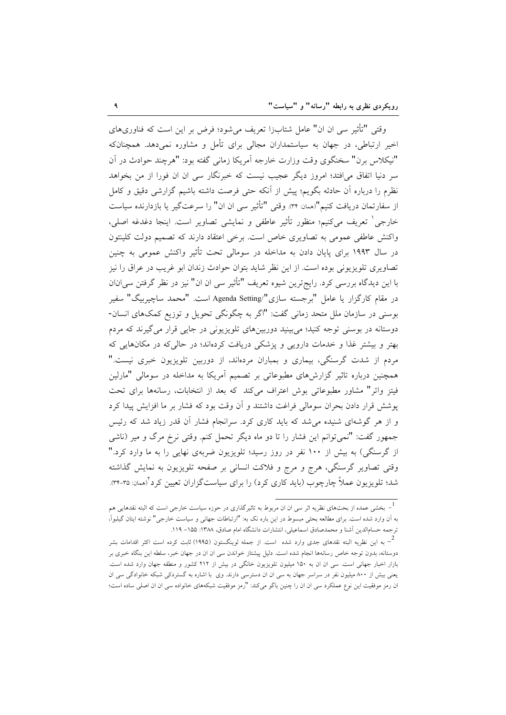وقتی "تأثیر سی ان ان" عامل شتابزا تعریف میشود؛ فرض بر این است که فناوریهای اخیر ارتباطی، در جهان به سیاستمداران مجالی برای تأمل و مشاوره نمی دهد. همچنانکه "نيكلاس برن" سخنگوي وقت وزارت خارجه آمريكا زماني گفته بود: "هرچند حوادث در آن سر دنیا اتفاق می|فتد؛ امروز دیگر عجیب نیست که خبرنگار سی ان ان فورا از من بخواهد نظرم را درباره اّن حادثه بگویم؛ پیش از آنکه حتی فرصت داشته باشیم گزارشی دقیق و کامل از سفارتمان دریافت کنیم"(همان: ۳۴). وقتی "تأثیر سی ان ان" را سرعتگیر یا بازدارنده سیاست خارجي` تعريف ميكنيم؛ منظور تأثير عاطفي و نمايشي تصاوير است. اينجا دغدغه اصلي، واکنش عاطفی عمومی به تصاویری خاص است. برخی اعتقاد دارند که تصمیم دولت کلینتون در سال ۱۹۹۳ برای پایان دادن به مداخله در سومالی تحت تأثیر واکنش عمومی به چنین تصاویری تلویزیونی بوده است. از این نظر شاید بتوان حوادث زندان ابو غریب در عراق را نیز با اين ديدگاه بررسي كرد. رايج ترين شيوه تعريف "تأثير سي ان ان" نيز در نظر گرفتن سي انان در مقام کارگزار یا عامل "برجسته سازی"/Agenda Setting است. "محمد ساچیربیگ" سفیر بوسنی در سازمان ملل متحد زمانی گفت: "اگر به چگونگی تحویل و توزیع کمکهای انسان-دوستانه در بوسنی توجه کنید؛ می بینید دوربینهای تلویزیونی در جایی قرار میگیرند که مردم بهتر و بیشتر غذا و خدمات دارویی و پزشکی دریافت کردهاند؛ در حالی که در مکانهایی که مردم از شدت گرسنگی، بیماری و بمباران مردهاند، از دوربین تلویزیون خبری نیست." همچنین درباره تاثیر گزارشهای مطبوعاتی بر تصمیم آمریکا به مداخله در سومالی "مارلین فیتز واتر" مشاور مطبوعاتی بوش اعتراف میکند که بعد از انتخابات، رسانهها برای تحت پوشش قرار دادن بحران سومالی فراغت داشتند و آن وقت بود که فشار بر ما افزایش پیدا کرد و از هر گوشهای شنیده میشد که باید کاری کرد. سرانجام فشار آن قدر زیاد شد که رئیس جمهور گفت: "نمی توانم این فشار را تا دو ماه دیگر تحمل کنم. وقتی نرخ مرگ و میر (ناشی از گرسنگی) به بیش از ۱۰۰ نفر در روز رسید؛ تلویزیون ضربهی نهایی را به ما وارد کرد." وقتی تصاویر گرسنگی، هرج و مرج و فلاکت انسانی بر صفحه تلویزیون به نمایش گذاشته شد؛ تلویزیون عملاً چارچوب (باید کاری کرد) را برای سیاستگزاران تعیین کرد (ممان ۳۵-۳۴).

<sup>&</sup>lt;sup>1</sup> بخشم عمده از بحثهای نظریه اثر سی ان ان مربوط به تاثیرگذاری در حوزه سیاست خارجی است که البته نقدهایی هم به آن وارد شده است. برای مطالعه بحثی مبسوط در این باره نک به: "ارتباطات جهانی و سیاست خارجی" نوشته ایتان گیلبوآ، ترجمه حسام|لدین آشنا و محمدصادق اسماعیلی، انتشارات دانشگاه امام صادق، ۱۳۸۸: ۱۵۵– ۱۱۹.

به این نظریه البته نقدهای جدی وارد شده  $\,$ است. از جمله لوینگستون (۱۹۹۵) ثابت کرده است اکثر اقدامات بشر  $^{-2}$ دوستانه، بدون توجه خاص رسانهها انجام شده است. دلیل پیشتاز خواندن سی ان ان در جهان خبر، سلطه این بنگاه خبری بر بازار اخبار جهانی است. سی ان ان به ۱۵۰ میلیون تلویزیون خانگی در بیش از ۲۱۲ کشور و منطقه جهان وارد شده است. یعنی بیش از ۸۰۰ میلیون نفر در سراسر جهان به سی ان ان دسترسی دارند. وی با اشاره به گستردکی شبکه خانوادگی سی ان ان رمز موفقیت این نوع عملکرد سی ان ان را چنین باگو میکند: "رمز موفقیت شبکههای خانواده سی ان ان اصلی ساده است؛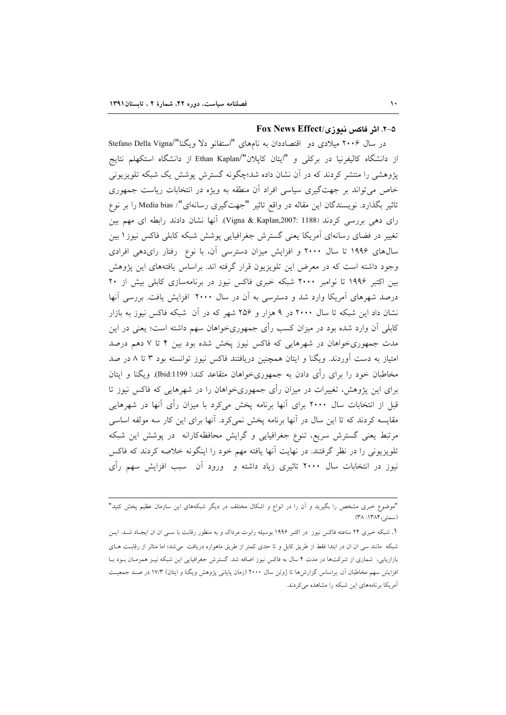# 8-۲. اثر فاکس نیوزی/Fox News Effect

در سال ۲۰۰۶ میلادی دو اقتصاددان به نامهای "استفانو دلا ویگنا"/Stefano Della Vigna از دانشگاه کالیفرنیا در برکلی و "ایتان کاپلان"/Ethan Kaplan از دانشگاه استکهلم نتایج یژوهشی را منتشر کردند که در آن نشان داده شد؛چگونه گسترش پوشش یک شبکه تلویزیونی خاص می تواند بر جهتگیری سیاسی افراد آن منطقه به ویژه در انتخابات ریاست جمهوری تاثیر بگذارد. نویسندگان این مقاله در واقع تاثیر "جهتگیری رسانهای"/ Media bias را بر نوع رای دهی بررسی کردند (Vigna & Kaplan,2007: 1188). آنها نشان دادند رابطه ای مهم بین تغییر در فضای رسانهای آمریکا یعنی گسترش جغرافیایی پوشش شبکه کابلی فاکس نیوز۱ بین سال های ۱۹۹۶ تا سال ۲۰۰۰ و افزایش میزان دسترسی آن، با نوع رفتار رایدهی افرادی وجود داشته است که در معرض این تلویزیون قرار گرفته اند. براساس یافتههای این یژوهش بین اکتبر ۱۹۹۶ تا نوامبر ۲۰۰۰ شبکه خبری فاکس نیوز در برنامهسازی کابلی بیش از ۲۰ درصد شهرهای آمریکا وارد شد و دسترسی به آن در سال ۲۰۰۰ افزایش یافت. بررسی آنها نشان داد این شبکه تا سال ۲۰۰۰ در ۹ هزار و ۲۵۶ شهر که در آن شبکه فاکس نیوز به بازار کابلی آن وارد شده بود در میزان کسب رأی جمهوریخواهان سهم داشته است؛ یعنی در این مدت جمهوریخواهان در شهرهایی که فاکس نیوز پخش شده بود بین ۴ تا ۷ دهم درصد امتیاز به دست آوردند. ویگنا و ایتان همچنین دریافتند فاکس نیوز توانسته بود ۳ تا ۸ در صد مخاطبان خود را برای رأی دادن به جمهوریخواهان متقاعد کند( Ibid:1199). ویگنا و ایتان برای این پژوهش، تغییرات در میزان رأی جمهوریخواهان را در شهرهایی که فاکس نیوز تا قبل از انتخابات سال ۲۰۰۰ برای آنها برنامه پخش میکرد با میزان رأی آنها در شهرهایی مقایسه کردند که تا این سال در آنها برنامه پخش نمی کرد. آنها برای این کار سه مولفه اساسی مرتبط یعنی گسترش سریع، تنوع جغرافیایی و گرایش محافظهکارانه در پوشش این شبکه تلویزیونی را در نظر گرفتند. در نهایت آنها یافته مهم خود را اینگونه خلاصه کردند که فاکس نیوز در انتخابات سال ۲۰۰۰ تاثیری زیاد داشته و ورود آن سبب افزایش سهم رأی

<sup>&</sup>quot;موضوع خبری مشخص را بگیرید و آن را در انواع و اشکال مختلف در دیگر شبکههای این سازمان عظیم پخش کنید" (سمتی،١٣٨۴: ٣٨)

۱. شبکه خبری ۲۴ ساعته فاکس نیوز در اکتبر ۱۹۹۶ بوسیله رابرت مرداک و به منظور رقابت با ســی ان ان ایجـاد شــد. ایــن شبکه مانند سی ان ان در ابتدا فقط از طریق کابل و تا حدی کمتر از طریق ماهواره دریافت می شد؛ اما متاثر از رقابت هـای بازاریابی، شماری از شرکتها در مدت ۴ سال به فاکس نیوز اضافه شد. گسترش جغرافیایی این شبکه نیـز همزمـان بـود بــا افزایش سهم مخاطبان آن. براساس گزارشها تا ژوئن سال ۲۰۰۰ (زمان پایانی پژوهش ویگنا و ایتان) ۱۷/۳ در صـد جمعیـت آمریکا برنامههای این شبکه را مشاهده میکردند.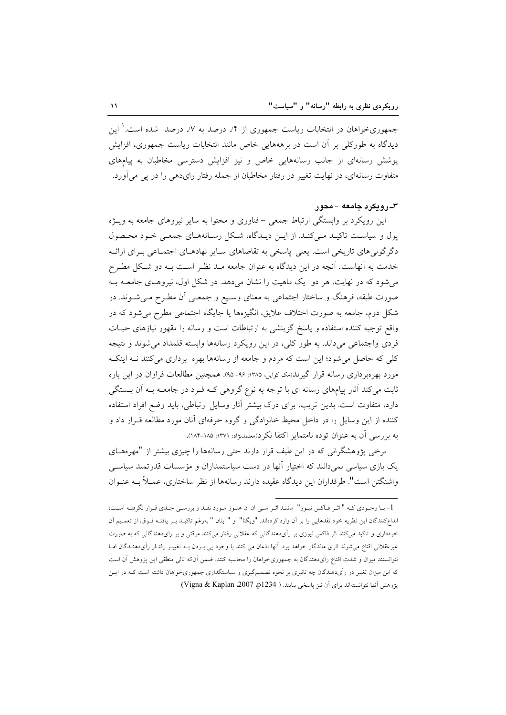جمهوریخواهان در انتخابات ریاست جمهوری از ۴٪ درصد به ۷٪ درصد ً شده است. ٰ این دیدگاه به طورکلی بر آن است در برهههایی خاص مانند انتخابات ریاست جمهوری، افزایش پوشش رسانهای از جانب رسانههایی خاص و نیز افزایش دسترسی مخاطبان به پیامهای متفاوت رسانهای، در نهایت تغییر در رفتار مخاطبان از جمله رفتار رای دهی را در پی می آورد.

# ۳ـ رویکرد جامعه – محور

این رویکرد بر وابستگی ارتباط جمعی – فناوری و محتوا به سایر نیروهای جامعه به ویــژه یول و سیاست تاکیـد مـی کنـد. از ایـن دیـدگاه، شـکل رسـانههـای جمعـی خـود محـصول دگر گونی های تاریخی است. یعنی پاسخی به تقاضاهای سـایر نهادهـای اجتمـاعی بـرای ارائـه خدمت به آنهاست. آنچه در این دیدگاه به عنوان جامعه مـد نظـر اسـت بـه دو شـكل مطـرح می شود که در نهایت، هر دو یک ماهیت را نشان میدهد. در شکل اول، نیروهای جامعـه بـه صورت طبقه، فرهنگ و ساختار اجتماعی به معنای وسیع و جمعـی آن مطـرح مـیشـوند. در شکل دوم، جامعه به صورت اختلاف علایق، انگیزهها یا جایگاه اجتماعی مطرح می شود که در واقع توجیه کننده استفاده و پاسخ گزینشی به ارتباطات است و رسانه را مقهور نیازهای حیـات فردی واجتماعی میداند. به طور کلی، در این رویکرد رسانهها وابسته قلمداد میشوند و نتیجه کلی که حاصل می شود؛ این است که مردم و جامعه از رسانهها بهره برداری می کنند نـه اینکـه مورد بهرهبرداری رسانه قرار گیرند(مک کوایل، ۱۳۸۵: ۹۶-۹۵). همچنین مطالعات فراوان در این باره ثابت می کند آثار پیامهای رسانه ای با توجه به نوع گروهی کـه فـرد در جامعـه بـه آن بــستگی دارد، متفاوت است. بدین تریب، برای درک بیشتر آثار وسایل ارتباطی، باید وضع افراد استفاده کننده از این وسایل را در داخل محیط خانوادگی و گروه حرفهای آنان مورد مطالعه قـرار داد و به بررسی آن به عنوان توده نامتمایز اکتفا نکرد(معتمدنژاد: ۱۳۷۱: ۱۸۵-۱۸۴).

برخی پژوهشگرانی که در این طیف قرار دارند حتی رسانهها را چیزی بیشتر از "مهرههـای یک بازی سیاسی نمیدانند که اختیار آنها در دست سیاستمداران و مؤسسات قدرتمند سیاسی واشنگتن است". طرفداران این دیدگاه عقیده دارند رسانهها از نظر ساختاری، عمــلاً بــه عنــوان

<sup>1-</sup> بـا وجـودي كـه " اثـر فـاكس نيـوز" ماننـد اثـر سـى ان ان هنـوز مـورد نقـد و بررسـى جـدي قـرار نگرفتـه اسـت؛ ابداع كنندگان اين نظريه خود نقدهايي را بر آن وارد كردهاند. "ويگنا" و " ايتان " بهرغم تاكيـد بـر يافتـه فـوق، از تعمـيم آن .<br>خودداری و تاکید میکنند اثر فاکس نیوزی بر رأیدهندگانی که عقلانی رفتار میکنند موقتی و بر رایدهندگانی که به صورت غیرعقلانی اقناع میشوند اثری ماندگار خواهد بود. آنها اذعان می کنند با وجود پی بـردن بـه تغییـر رفتـار رأیدهنـدگان امـا نتوانستند میزان و شدت اقناع رأىدهندگان به جمهورىخواهان را محاسبه كنند. ضمن آنكه تالى منطقى اين پژوهش آن است که این میزان تغییر در رأیدهندگان چه تاثیری بر نحوه تصمیمگیری و سیاستگذاری جمهوریخواهان داشته است کـه در ایــن يژوهش آنها نتوانستهاند براي آن نيز پاسخي بيابند. ( 2014 Vigna & Kaplan .2007)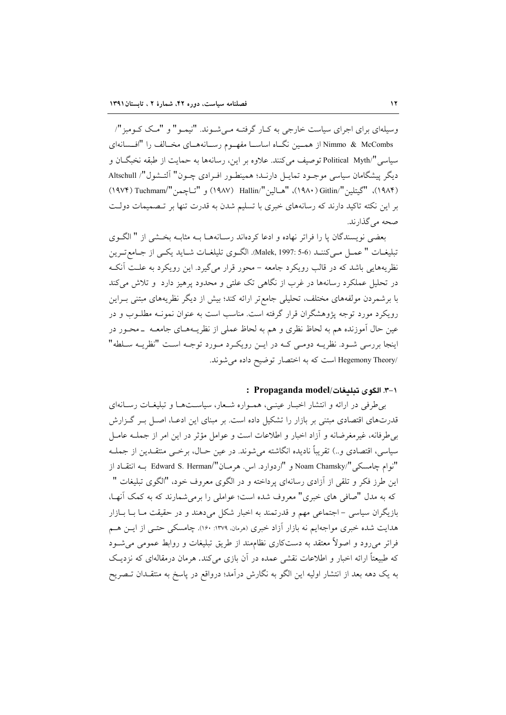وسیلهای برای اجرای سیاست خارجی به کـار گرفتـه مـی شـوند. "نیمـو" و "مـک کـومبز"/ Nimmo & McCombs از همسین نگIه اساسیا مفهـوم رسـانههـای مخـالف را "افـسانهای سیاسی "Political Myth/ توصیف می کنند. علاوه بر این، رسانهها به حمایت از طبقه نخبگــان و دیگر پیشگامان سیاسی موجـود تمایـل دارنـد؛ همینطـور افـرادی چـون" آلتـشول"/ Altschull (١٩٨۴)، "كيتلين "/Gitlin)، "هـالين "/Hallin (١٩٨٧) و "تـاجـمن "/Tuchmam) (١٩٧۴) بر این نکته تاکید دارند که رسانههای خبری با تسلیم شدن به قدرت تنها بر تـصمیمات دولـت صحه مرگذارند.

بعضي نويسندگان يا را فراتر نهاده و ادعا كردهاند رسـانههـا بـه مثابـه بخـشي از " الگـوي تبليغــات " عمــل مــي كننــد (Malek, 1997: 5-6). الگــوى تليلغــات شــايد يكــي از جــامع تــرين نظریههایی باشد که در قالب رویکرد جامعه – محور قرار می گیرد. این رویکرد به علـت آنکـه در تحلیل عملکرد رسانهها در غرب از نگاهی تک علتی و محدود پرهیز دارد و تلاش می کند با برشمردن مولفههای مختلف، تحلیلی جامع تر ارائه کند؛ بیش از دیگر نظریههای مبتنی بـراین رویکرد مورد توجه پژوهشگران قرار گرفته است. مناسب است به عنوان نمونــه مطلــوب و در عین حال آموزنده هم به لحاظ نظری و هم به لحاظ عملی از نظریـههـای جامعــه ــ محــور در اینجا بررسی شـود. نظریــه دومـی کــه در ایــن رویکـرد مـورد توجــه اسـت "نظریــه سـلطه" /Hegemony Theory است كه به اختصار توضيح داده مي شوند.

# : Propaganda model/ الكوى تبليغات. Propaganda model

بی طرفی در ارائه و انتشار اخبار عینبی، همواره شعار، سیاستها و تبلیغات رسانهای قدرتهای اقتصادی مبتنی بر بازار را تشکیل داده است. بر مبنای این ادعـا، اصـل بـر گـزارش بے طرفانه، غیرمغرضانه و آزاد اخبار و اطلاعات است و عوامل مؤثر در این امر از جملــه عامــل سیاسی، اقتصادی و..) تقریباً نادیده انگاشته میشوند. در عین حـال، برخــی منتقــدین از جملــه "نوام چامسکی "/Noam Chamsky و "اردوارد. اس. هرمـان"/Edward S. Herman بـه انتقـاد از این طرز فکر و تلقی از آزادی رسانهای پرداخته و در الگوی معروف خود، "الگوی تبلیغات " که به مدل "صافی های خبری" معروف شده است؛ عواملی را برمی شمارند که به کمک آنهـا، بازیگران سیاسی – اجتماعی مهم و قدرتمند به اخبار شکل میدهند و در حقیقت مـا بــا بــازار هدایت شده خبری مواجهایم نه بازار آزاد خبری (هرمانه ۱۳۷۹: ۱۶۰). چامسکی حتـبی از ایــن هــم فراتر می رود و اصولاً معتقد به دستکاری نظاممند از طریق تبلیغات و روابط عمومی می شـود که طبیعتاً ارائه اخبار و اطلاعات نقشی عمده در آن بازی میکند. هرمان درمقالهای که نزدیک به یک دهه بعد از انتشار اولیه این الگو به نگارش درآمد؛ درواقع در پاسخ به منتقـدان تـصریح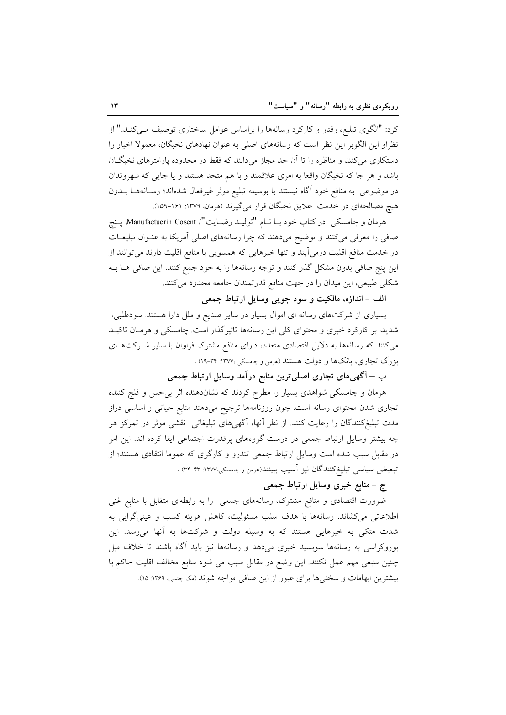کرد: "الگوی تبلیع، رفتار و کارکرد رسانهها را براساس عوامل ساختاری توصیف مـیکنـد." از نظراو این الگوبر این نظر است که رسانههای اصلی به عنوان نهادهای نخبگان، معمولاً اخبار را دستکاری میکنند و مناظره را تا آن حد مجاز میدانند که فقط در محدوده پارامترهای نخبگان باشد و هر جا که نخبگان واقعا به امری علاقمند و با هم متحد هستند و یا جایی که شهروندان در موضوعی به منافع خود آگاه نیستند یا بوسیله تبلیع موثر غیرفعال شدهاند؛ رسـانههـا بــدون هیچ مصالحهای در خدمت علایق نخبگان قرار میگیرند (هرمان، ۱۳۷۹: ۱۶۱-۱۵۹).

هرمان و چامسکی در کتاب خود بـا نــام "تولیــد رضــایت"/ Manufactuerin Cosent، پــنچ صافی را معرفی میکنند و توضیح میدهند که چرا رسانههای اصلی آمریکا به عنـوان تبلیغـات در خدمت منافع اقلیت درمی آیند و تنها خبرهایی که همسویی با منافع اقلیت دارند می توانند از این پنج صافی بدون مشکل گذر کنند و توجه رسانهها را به خود جمع کنند. این صافی هــا بــه شکلی طبیعی، این میدان را در جهت منافع قدرتمندان جامعه محدود می کنند.

الف - اندازه، مالکیت و سود جویبی وسایل ارتباط جمعی

بسیاری از شرکتهای رسانه ای اموال بسیار در سایر صنایع و ملل دارا هستند. سودطلبی، شدیدا بر کارکرد خبری و محتوای کلی این رسانهها تاثیرگذار است. چامسکی و هرمان تاکیـد می کنند که رسانهها به دلایل اقتصادی متعدد، دارای منافع مشترک فراوان با سایر شـرکتهـای بزرگ تجاری، بانکها و دولت هستند (مرمن و چامسکی ،۱۳۷۷: ۳۴-۱۹) .

ب – آگهیهای تجاری اصلی ترین منابع درآمد وسایل ارتباط جمعی

هرمان و چامسکی شواهدی بسیار را مطرح کردند که نشاندهنده اثر بی حس و فلج کننده تجاری شدن محتوای رسانه است. چون روزنامهها ترجیح میدهند منابع حیاتی و اساسی دراز مدت تبلیغکنندگان را رعایت کنند. از نظر آنها، اگهیهای تبلیغاتی نقشی موثر در تمرکز هر چه بیشتر وسایل ارتباط جمعی در درست گروههای پرقدرت اجتماعی ایفا کرده اند. این امر در مقابل سبب شده است وسایل ارتباط جمعی تندرو و کارگری که عموما انتقادی هستند؛ از تبعیض سیاسی تبلیغ کنندگان نیز آسیب ببینند(هرمن و چامسکی،۱۳۷۷: ۳۳-۳۴) .

ج – منابع خبری وسایل ارتباط جمعی

ضرورت اقتصادی و منافع مشترک، رسانههای جمعی را به رابطهای متقابل با منابع غنی اطلاعاتی میکشاند. رسانهها با هدف سلب مسئولیت، کاهش هزینه کسب و عینیگرایی به شدت متکی به خبرهایی هستند که به وسیله دولت و شرکتها به آنها میرسد. این بوروکراسی به رسانهها سوبسید خبری میدهد و رسانهها نیز باید آگاه باشند تا خلاف میل چنین منبعی مهم عمل نکنند. این وضع در مقابل سبب می شود منابع مخالف اقلیت حاکم با بیشترین ابهامات و سختی ها برای عبور از این صافی مواجه شوند (مک چسبی، ۱۳۶۹: ۱۵).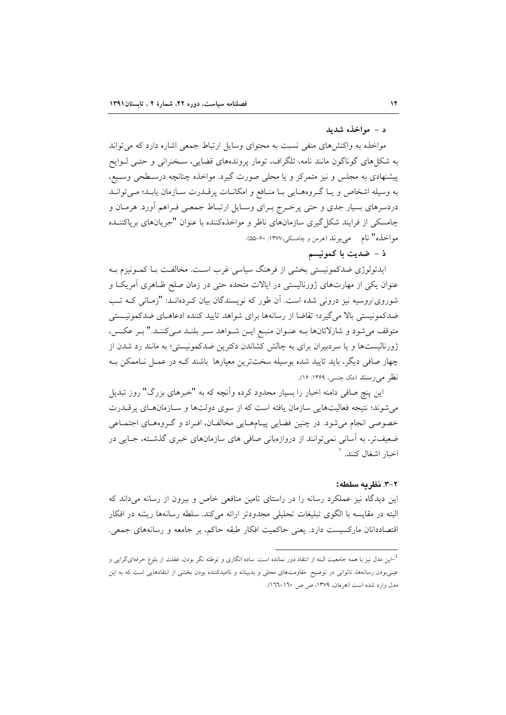#### د - مواخذه شديد

مواخذه به واکنشهای منفی نسبت به محتوای وسایل ارتباط جمعی اشاره دارد که می تواند به شکلهای گوناگون مانند نامه، تلگراف، تومار پروندههای قضایی، سـخنرانی و حتـی لـوایح پیشنهادی به مجلس و نیز متمرکز و یا محلی صورت گیرد. مواخذه چنانچه درسـطحی وسـیع، به وسيله اشخاص ويا گروههايي با منافع و امكانات پرقـدرت سـازمان يابـد؛ مـي توانـد دردسرهای بسیار جدی و حتی پرخـرج بـرای وسـایل ارتبـاط جمعـی فـراهم أورد. هرمـان و چامسکی از فرایند شکل گیری سازمانهای ناظر و مواخذهکننده با عنوان "جریانهای برپاکننــده مواخذه" نام \_ مي برند (هرمن و چامسکي،١٣٧٧: ۶۰-۵۵).

# ذ – ضدیت با کمونیسم

ایدئولوژی ضدکمونیستی بخشی از فرهنگ سیاسی غرب است. مخالفت بـا کمـونیزم بـه عنوان یکی از مهارتهای ژورنالیستی در ایالات متحده حتی در زمان صلح ظـاهری آمریکـا و شوروی/روسیه نیز درونی شده است. آن طور که نویسندگان بیان که دهانـد: "زمـانی کـه تـب ضدکمونیستی بالا می گیرد؛ تقاضا از رسانهها برای شواهد تایید کننده ادعاهـای ضدکمونیـستی متوقف میشود و شارلاتانها بـه عنـوان منبـع ایـن شـواهد سـر بلنـد مـیکننـد." بـر عکـس، ژورنالیستها و یا سردبیران برای به چالش کشاندن دکترین ضدکمونیستی؛ به مانند رد شدن از چهار صافی دیگر، باید تایید شده بوسیله سختترین معیارها باشند کـه در عمـل نـاممکن بـه نظر می رسند (مک چنسی، ۱۳۶۹: ۱۶).

این پنچ صافی دامنه اخبار را بسیار محدود کرده وآنچه که به "خبرهای بزرگ" روز تبدیل می شوند؛ نتیجه فعالیتهایی سازمان یافته است که از سوی دولتها و سـازمان های پر قــدرت خصوصی انجام می شود. در چنین فضایی پیـامهـایی مخالفـان، افـراد و گـروههـای اجتمـاعی ضعیفتر، به آسانی نمیتوانند از دروازهبانی صافی های سازمانهای خبری گذشته، جـایی در اخبار اشغال کنند. <sup>۱</sup>

#### ٢-٣. نظريه سلطه:

این دیدگاه نیز عملکرد رسانه را در راستای تامین منافعی خاص و بیرون از رسانه میداند که البته در مقایسه با الگوی تبلیغات تحلیلی محدودتر ارائه میکند. سلطه رسانهها ریشه در افکار اقتصاددانان ماركسيست دارد. يعني حاكميت افكار طبقه حاكم، بر جامعه و رسانههاى جمعى.

<sup>&</sup>lt;sup>1</sup>–این مدل نیز با همه جامعیت البته از انتقاد دور نمانده است. ساده انگاری و توطئه نگر بودن، غفلت از بلوغ حرفهایگرایی و عینیبودن رسانهها، ناتوانی در توضیح مقاومتهای محلی و بدبینانه و ناامیدکننده بودن بخشی از انتقادهایی است که به این مدل وارد شده است (هرمان، ١٣٧٩، ص ص ١٦٠-١٦٦).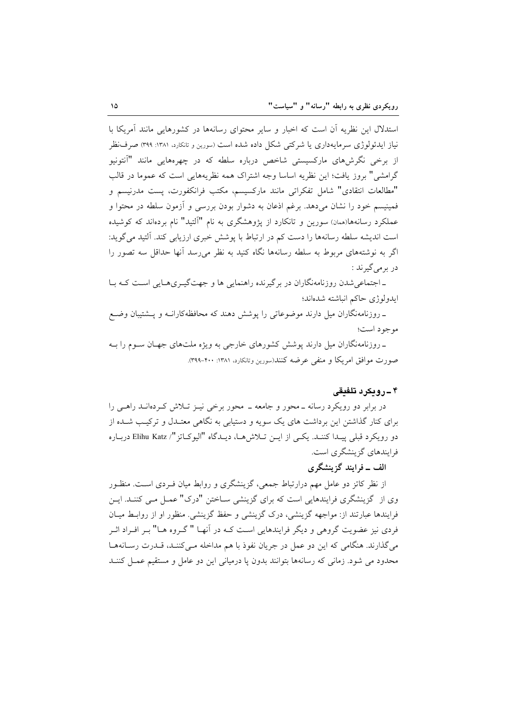استدلال این نظریه آن است که اخبار و سایر محتوای رسانهها در کشورهایی مانند آمریکا با نیاز ایدئولوژی سرمایهداری یا شرکتبی شکل داده شده است (سورین و تانکارد، ۱۳۸۱: ۳۹۹) صرف نظر از برخی نگرش،های مارکسیستی شاخص درباره سلطه که در چهرههایی مانند "آنتونیو گرامشی" بروز یافت؛ این نظریه اساسا وجه اشتراک همه نظریههایی است که عموما در قالب "مطالعات انتقادي" شامل تفكراتي مانند ماركسيسم، مكتب فرانكفورت، يست مدرنيسم و فمینیسم خود را نشان میدهد. برغم اذعان به دشوار بودن بررسی و آزمون سلطه در محتوا و عملکرد رسانهها(همان) سورین و تانکارد از پژوهشگری به نام "آلتید" نام بردهاند که کوشیده است اندیشه سلطه رسانهها را دست کم در ارتباط با پوشش خبری ارزیابی کند. آلتید می گوید: اگر به نوشتههای مربوط به سلطه رسانهها نگاه کنید به نظر میرسد آنها حداقل سه تصور را در بر می گیر ند :

ـ اجتماعي شدن روزنامهنگاران در برگيرنده راهنمايي ها و جهتگيري هـايي اسـت كـه بـا ايدولوژى حاكم انباشته شدهاند؛

ـ روزنامهنگاران میل دارند موضوعاتی را پوشش دهند که محافظهکارانــه و پــشتیبان وضــع موجود است؛

ـ روزنامهنگاران میل دارند پوشش کشورهای خارجی به ویژه ملتهای جهـان سـوم را بــه صورت موافق امريكا و منفى عرضه كنند(سورين وتانكارد، ١٣٨١: ٣٩٩-٣٩٩).

# ۴\_روبکرد تلفیقی

در برابر دو رویکرد رسانه ــ محور و جامعه ــ محور برخی نیــز تــلاش کــردهانــد راهــی را برای کنار گذاشتن این برداشت های یک سویه و دستیابی به نگاهی معتـدل و ترکیـب شــده از دو رويكرد قبلي پيـدا كننـد. يكـي از ايــن تــلاشهـا، ديــدگاه "اليوكـاتز"/ Elihu Katz دربـاره فرایندهای گزینشگری است.

# الف ــ فرایند گزینشگری

از نظر کاتز دو عامل مهم درارتباط جمعی، گزینشگری و روابط میان فـردی اسـت. منظـور وی از گزینشگری فرایندهایی است که برای گزینشی سـاختن "درک" عمـل مـی کننـد. ایـن فرایندها عبارتند از: مواجهه گزینشی، درک گزینشی و حفظ گزینشی. منظور او از روابط میـان فردی نیز عضویت گروهی و دیگر فرایندهایی است کـه در آنهـا "کروه هـا" بـر افـراد اثـر می گذارند. هنگامی که این دو عمل در جریان نفوذ با هم مداخله مـی کننـد، قــدرت رسـانههـا محدود می شود. زمانی که رسانهها بتوانند بدون پا درمیانی این دو عامل و مستقیم عمـل کننـد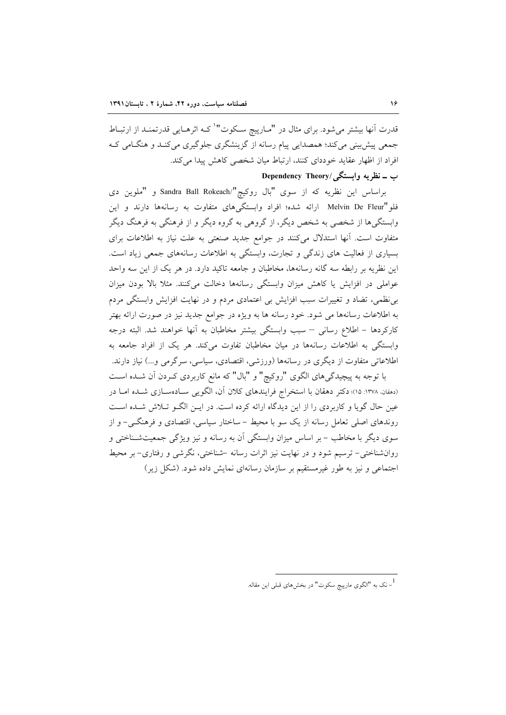قدرت اّنها بیشتر میشود. برای مثال در "مـارییچ سـکوت" کـه اثرهـایی قدرتمنـد از ارتبـاط جمعي پيش بيني مي کند؛ همصدايي پيام رسانه از گزينشگري جلوگيري مي کنـد و هنگـامي کـه افراد از اظهار عقاید خوددای کنند، ارتباط میان شخصی کاهش پیدا میکند.

### Dependency Theory/ ب ــ نظر په وابستگې

براساس این نظریه که از سوی "بال روکیچ"/Sandra Ball Rokeach و "ملوین دی فلو"Melvin De Fleur ارائه شده؛ افراد وابستگیهای متفاوت به رسانهها دارند و این وابستگیها از شخصی به شخص دیگر، از گروهی به گروه دیگر و از فرهنگی به فرهنگ دیگر متفاوت است. آنها استدلال میکنند در جوامع جدید صنعتی به علت نیاز به اطلاعات برای بسیاری از فعالیت های زندگی و تجارت، وابستگی به اطلاعات رسانههای جمعی زیاد است. این نظریه بر رابطه سه گانه رسانهها، مخاطبان و جامعه تاکید دارد. در هر یک از این سه واحد عواملی در افزایش یا کاهش میزان وابستگی رسانهها دخالت میکنند. مثلا بالا بودن میزان بی نظمی، تضاد و تغییرات سبب افزایش بی اعتمادی مردم و در نهایت افزایش وابستگی مردم به اطلاعات رسانهها می شود. خود رسانه ها به ویژه در جوامع جدید نیز در صورت ارائه بهتر كاركردها – اطلاع رساني – سبب وابستگي بيشتر مخاطبان به آنها خواهند شد. البته درجه وابستگی به اطلاعات رسانهها در میان مخاطبان تفاوت میکند. هر یک از افراد جامعه به اطلاعاتی متفاوت از دیگری در رسانهها (ورزشی، اقتصادی، سیاسی، سرگرمی و…) نیاز دارند.

با توجه به پیچیدگیهای الگوی "روکیچ" و "بال" که مانع کاربردی کـردن آن شــده اســت (دهقان، ۱۳۷۸: ۱۵)؛ دكتر دهقان با استخراج فرايندهاي كلان آن، الگويي سـادهسـازي شـده امـا در عین حال گویا و کاربردی را از این دیدگاه ارائه کرده است. در ایـن الگـو تـلاش شـده اسـت روندهای اصلی تعامل رسانه از یک سو با محیط – ساختار سیاسی، اقتصادی و فرهنگـی– و از سوی دیگر با مخاطب – بر اساس میزان وابستگی آن به رسانه و نیز ویژگی جمعیتشـناختی و روانشناختی- ترسیم شود و در نهایت نیز اثرات رسانه –شناختی، نگرشی و رفتاری- بر محیط اجتماعی و نیز به طور غیرمستقیم بر سازمان رسانهای نمایش داده شود. (شکل زیر)

ا<br>– نک به "الگوی مارییچ سکوت" در بخشهای قبلی این مقاله.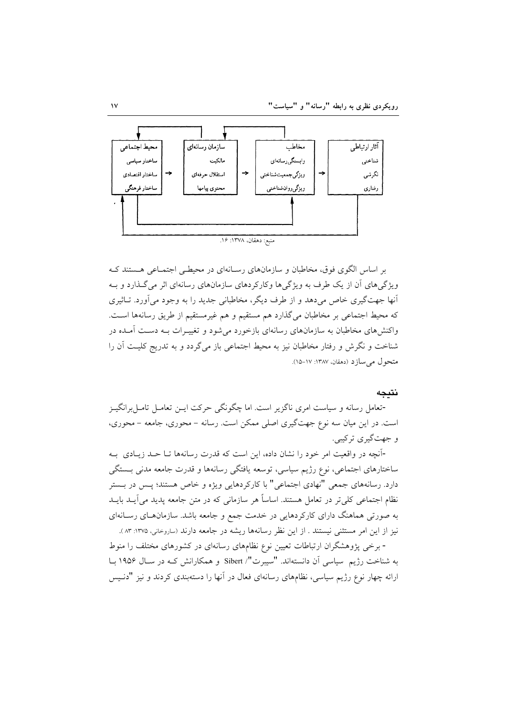

بر اساس الگوی فوق، مخاطبان و سازمانهای رسـانهای در محیطـی اجتمــاعی هــستند کــه ویژگی های آن از یک طرف به ویژگی ها وکارکردهای سازمانهای رسانهای اثر می گـذارد و بـه آنها جهتگیری خاص می،دهد و از طرف دیگر، مخاطبانی جدید را به وجود می آورد. تـاثیری كه محيط اجتماعي بر مخاطبان مي گذارد هم مستقيم و هم غيرمستقيم از طريق رسانهها است. واکنش های مخاطبان به سازمانهای رسانهای بازخورد می شود و تغییـرات بــه دســت آمــده در شناخت و نگرش و رفتار مخاطبان نیز به محیط اجتماعی باز میگردد و به تدریج کلیت آن را متحول می سازد (دهقان، ۱۳۸۷: ۱۷-۱۵).

#### نتىحە

-تعامل رسانه و سیاست امری ناگزیر است. اما چگونگی حرکت ایس تعامـل تامـل برانگیـز است. در این میان سه نوع جهتگیری اصلی ممکن است. رسانه – محوری، جامعه – محوری، و جهت گيري تر کيبي.

-آنچه در واقعیت امر خود را نشان داده، این است که قدرت رسانهها تـا حـد زیـادی بـه ساختارهای اجتماعی، نوع رژیم سیاسی، توسعه یافتگی رسانهها و قدرت جامعه مدنی بـستگی دارد. رسانههای جمعی "نهادی اجتماعی" با کارکردهایی ویژه و خاص هستند؛ پـس در بـستر نظام اجتماعی کلی تر در تعامل هستند. اساساً هر سازمانی که در متن جامعه پدید می آیــد بایــد به صورتی هماهنگ دارای کارکردهایی در خدمت جمع و جامعه باشد. سازمانهـای رسـانهای نیز از این امر مستثنی نیستند . از این نظر رسانهها ریشه در جامعه دارند (ساروخانی، ۱۳۷۵: ۸۳).

- برخی یژوهشگران ارتباطات تعیین نوع نظامهای رسانهای در کشورهای مختلف را منوط به شناخت رژیم سیاسی آن دانستهاند. "سیبرت"/ Sibert و همکارانش کـه در سـال ۱۹۵۶ بــا ارائه چهار نوع رژیم سیاسی، نظامهای رسانهای فعال در آنها را دستهبندی کردند و نیز "دنـیس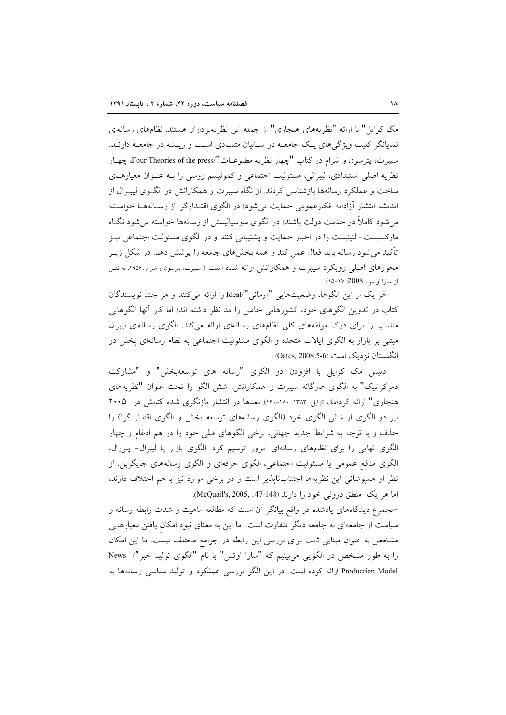مک کوایل" با ارائه "نظریههای هنجاری" از جمله این نظریهپردازان هستند. نظامهای رسانهای نمایانگر کلیت ویژگی های یک جامعــه در ســالیان متمــادی اســت و ریــشه در جامعــه دارنــد. سيبرت، يترسون و شرام در كتاب "چهار نظريه مطبوعــات"/Four Theories of the press، چهـار نظریه اصلی استبدادی، لیبرالی، مسئولیت اجتماعی و کمونیسم روسی را بـه عنـوان معیارهـای ساخت و عملکرد رسانهها بازشناسی کردند. از نگاه سیبرت و همکارانش در الگـوی لیبـرال از اندیشه انتشار آزادانه افکارعمومی حمایت می شود؛ در الگوی اقتـدارگرا از رسـانههـا خواسـته م شهود کاملاً در خدمت دولت باشند؛ در الگوی سوسیالیستی از رسانهها خواسته می شود نگIه مارکسیست– لنینیست را در اخبار حمایت و پشتیبانی کنند و در الگوی مسئولیت اجتماعی نیـز تأکید می شود رسانه باید فعال عمل کند و همه بخشهای جامعه را پوشش دهد. در شکل زیــر محورهای اصلی رویکرد سیبرت و همکارانش ارائه شده است ( سیبرت، پترسون و شرام ۱۹۵۶٬ به نقل از سارا اوتس، 2008: ١٧-١٥).

هر یک از این الگوها، وضعیتهایی "آرمانی"/Ideal را ارائه می کنند و هر چند نویسندگان کتاب در تدوین الگوهای خود، کشورهایی خاص را مد نظر داشته اند؛ اما کار أنها الگوهایی مناسب را برای درک مولفههای کلی نظامهای رسانهای ارائه میکند. الگوی رسانهای لیبرال مبتنی بر بازار به الگوی ایالات متحده و الگوی مسئولیت اجتماعی به نظام رسانهای پخش در انگلستان نزدیک است (0-08:5-3008).

دنیس مک کوایل با افزودن دو الگوی "رسانه های توسعهبخش" و "مشارکت دموکراتیک" به الگوی هارگانه سیبرت و همکارانش، شش الگو را تحت عنوان "نظریههای هنجاری" ارائه کرد(مک کوایل، ۱۳۸۳: ۱۸۰-۱۶۱). بعدها در انتشار بازنگری شده کتابش در ۲۰۰۵ نیز دو الگوی از شش الگوی خود (الگوی رسانههای توسعه بخش و الگوی اقتدار گرا) را حذف و با توجه به شرایط جدید جهانی، برخی الگوهای قبلی خود را در هم ادغام و چهار الگوی نهایی را برای نظامهای رسانهای امروز ترسیم کرد. الگوی بازار یا لیبرال- پلورال، الگوی منافع عمومی یا مسئولیت اجتماعی، الگوی حرفهای و الگوی رسانههای جایگزین. از نظر او همپوشانی این نظریهها اجتنابناپذیر است و در برخی موارد نیز با هم اختلاف دارند، اما هر يک منطق دروني خود را دارند (McQuail's, 2005, 147-148).

-مجموع دیدگاههای یادشده در واقع بیانگر آن است که مطالعه ماهیت و شدت رابطه رسانه و سیاست از جامعهای به جامعه دیگر متفاوت است. اما این به معنای نبود امکان یافتن معیارهایی مشخص به عنوان مبنایی ثابت برای بررسی این رابطه در جوامع مختلف نیست. ما این امکان را به طور مشخص در الگویی می بینیم که "سارا اوتس" با نام "الگوی تولید خبر"/ News Production Model ارائه کرده است. در این الگو بررسی عملکرد و تولید سیاسی رسانهها به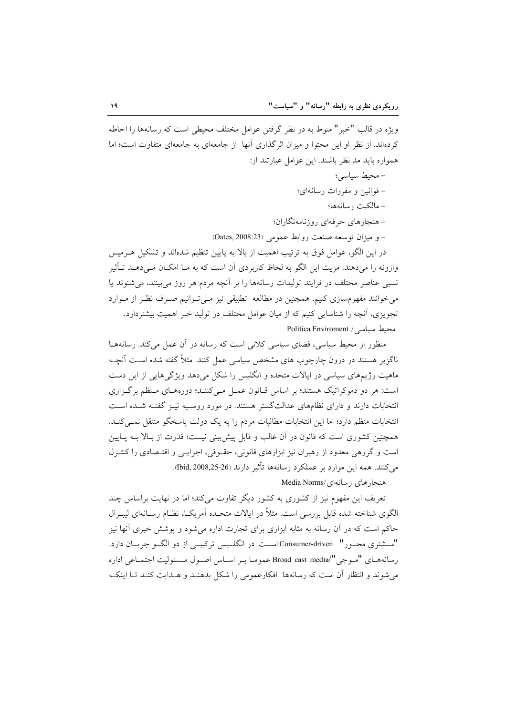ويژه در قالب "خبر" منوط به در نظر گرفتن عوامل مختلف محيطي است كه رسانهها را احاطه کردهاند. از نظر او این محتوا و میزان اثر گذاری آنها ًاز جامعهای به جامعهای متفاوت است؛ اما همواره بايد مد نظر باشند. اين عوامل عبارتند از:

- محيط سياسي؛
- قوانين و مقررات رسانهاي؛
	- مالكيت رسانهها؛
- هنجار های حرفهای روزنامهنگاران؛

– و ميزان توسعه صنعت روابط عمومي (Oates, 2008:23).

در این الگو، عوامل فوق به ترتیب اهمیت از بالا به پایین تنظیم شدهاند و تشکیل هـرمیس وارونه را میدهند. مزیت این الگو به لحاظ کاربردی آن است که به مـا امکــان مـی،دهــد تــأثیر نسبی عناصر مختلف در فرایند تولیدات رسانهها را بر آنچه مردم هر روز می بینند، می شنوند یا میخوانند مفهومسازی کنیم. همچنین در مطالعه تطبیقی نیز مـیتوانیم صـرف نظـر از مـوارد تجویزی، آنچه را شناسایی کنیم که از میان عوامل مختلف در تولید خبر اهمیت بیشتردارد. Politica Enviroment / سیاسی

منظور از محیط سیاسی، فضای سیاسی کلانی است که رسانه در آن عمل می کند. رسانههـا ناگزیر هستند در درون چارچوب های مشخص سیاسی عمل کنند. مثلاً گفته شده اسـت آنچـه ماهیت رژیمهای سیاسی در ایالات متحده و انگلیس را شکل میدهد ویژگیهایی از این دست است: هر دو دموکراتیک هستند؛ بر اساس قبانون عمـل مـیکننـد؛ دورههـای مـنظم برگـزاری انتخابات دارند و دارای نظامهای عدالتگستر هستند. در مورد روسـبه نیـز گفتـه شـده اسـت انتخابات منظم دارد؛ اما این انتخابات مطالبات مردم را به یک دولت پاسخگو منتقل نمبی کنـد. همچنین کشوری است که قانون در آن غالب و قابل پیش بینی نیست؛ قدرت از بـالا بـه پـایین است و گروهی معدود از رهبران نیز ابزارهای قانونی، حقـوقی، اجرایـی و اقتـصادی را کنتـرل مي كنند. همه اين موارد بر عملكرد رسانهها تأثير دارند (Ibid, 2008,25-26).

Media Norms/ د سانهای /Media Norms

تعریف این مفهوم نیز از کشوری به کشور دیگر تفاوت می کند؛ اما در نهایت براساس چند الگوی شناخته شده قابل بررسی است. مثلاً در ایالات متحـده آمریکـا، نظـام رســانهای لیبــرال حاکم است که در آن رسانه به مثابه ابزاری برای تجارت اداره می شود و پوشش خبری آنها نیز "مسشتري محسور" Consumer-driven است. در انگلسس تركيبي از دو الگو جريسان دارد. رسانههای "مـوجی"/Broad cast media عمومـا بـر اسـاس اصـول مـسئوليت اجتمـاعي اداره می شوند و انتظار آن است که رسانهها افکارعمومی را شکل بدهنـد و هـدایت کنـد تـا اینکـه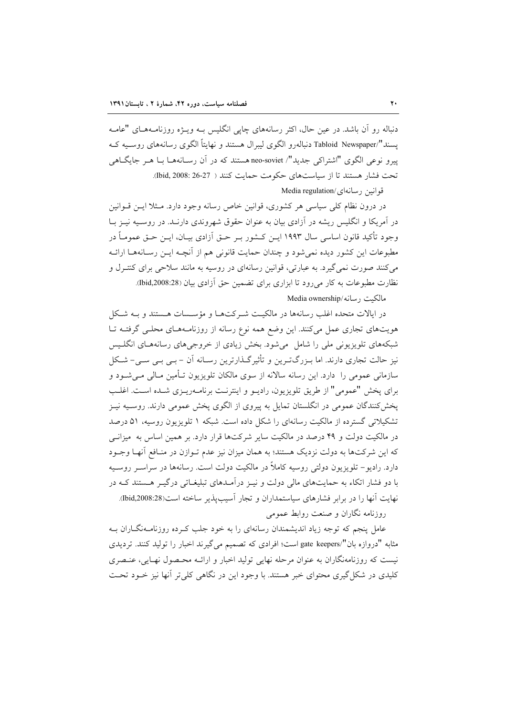دنباله رو آن باشد. در عین حال، اکثر رسانههای چاپی انگلیس بـه ویــژه روزنامـههـای "عامـه یسند"/Tabloid Newspaper دنبالهرو الگوی لیبرال هستند و نهایتاً الگوی رسانههای روسـیه کـه پیرو نوعی الگوی "اشتراکی جدید"/ neo-soviet هستند که در آن رسـانههـا بـا هـر جایگـاهی تحت فشار هستند تا از سیاستهای حکومت حمایت کنند ( 27-26 :1bid, 2008).

### قوانين رسانهاي/Media regulation

در درون نظام کلی سیاسی هر کشوری، قوانین خاص رسانه وجود دارد. مـثلا ایـن قــوانین در آمریکا و انگلیس ریشه در آزادی بیان به عنوان حقوق شهروندی دارنـد. در روسـیه نیــز بــا وجود تأكيد قانون اساسي سال ١٩٩٣ ايـن كــشور بـر حــق آزادي بيــان، ايــن حــق عمومــاً در مطبوعات این کشور دیده نمی شود و چندان حمایت قانونی هم از آنچـه ایـن رسـانههـا ارائـه می کنند صورت نمی گیرد. به عبارتی، قوانین رسانهای در روسیه به مانند سلاحی برای کنتـرل و نظارت مطبوعات به كار مي رود تا ابزاري براي تضمين حق آزادي بيان (18:2008,28).

مالكيت رسانه/Media ownership

در ایالات متحده اغلب رسانهها در مالکیت شـرکتهـا و مؤسـسات هـستند و بـه شـکل هویتهای تجاری عمل میکنند. این وضع همه نوع رسانه از روزنامـههـای محلـی گرفتـه تـا شبکههای تلویزیونی ملی را شامل میشود. بخش زیادی از خروجیهای رسانههـای انگلـیس نیز حالت تجاری دارند. اما بـزرگتـرین و تأثیرگـذارترین رسـانه آن – بـی بـی سـی- شـکل سازمانی عمومی را دارد. این رسانه سالانه از سوی مالکان تلویزیون تـأمین مـالی مـیشــود و برای پخش "عمومی" از طریق تلویزیون، رادیــو و اینترنــت برنامــهریــزی شــده اســت. اغلــب پخشکنندگان عمومی در انگلستان تمایل به پیروی از الگوی پخش عمومی دارند. روسـیه نیـز تشکیلاتی گسترده از مالکیت رسانهای را شکل داده است. شبکه ۱ تلویزیون روسیه، ۵۱ درصد در مالکیت دولت و ۴۹ درصد در مالکیت سایر شرکتها قرار دارد. بر همین اساس به میزانـی که این شرکتها به دولت نزدیک هستند؛ به همان میزان نیز عدم تـوازن در منـافع آنهـا وجـود دارد. رادیو– تلویزیون دولتی روسیه کاملاً در مالکیت دولت است. رسانهها در سراسـر روسـیه با دو فشار اتکاء به حمایتهای مالی دولت و نیــز درآمـدهای تبلیغــاتی درگیــر هــستند کــه در نهایت آنها را در برابر فشارهای سیاستمداران و تجار آسیب پذیر ساخته است(15:2008,28).

روزنامه نگاران و صنعت روابط عمومی

عامل پنجم که توجه زیاد اندیشمندان رسانهای را به خود جلب کـرده روزنامـهنگـاران بـه مثابه "دروازه بان"/gate keepers است؛ افرادي كه تصميم مي گيرند اخبار را توليد كنند. ترديدي نیست که روزنامهنگاران به عنوان مرحله نهایی تولید اخبار و ارائـه محـصول نهـایی، عنـصری کلیدی در شکل گیری محتوای خبر هستند. با وجود این در نگاهی کلی تر آنها نیز خــود تحـت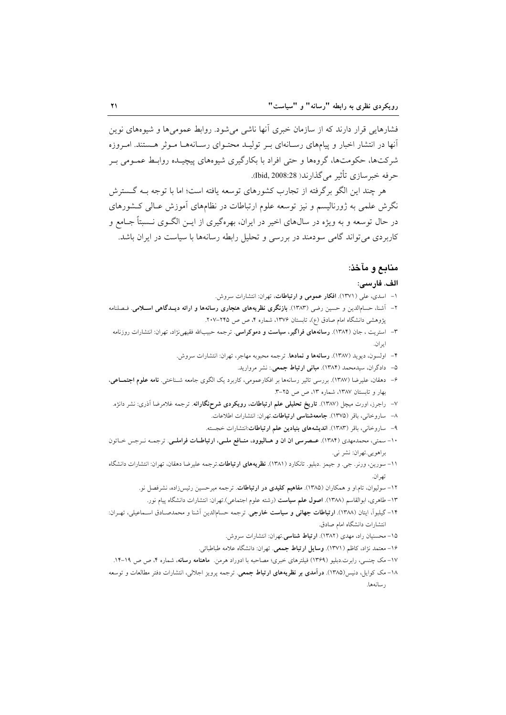فشارهایی قرار دارند که از سازمان خبری آنها ناشی میشود. روابط عمومیها و شیوههای نوین آنها در انتشار اخبار و پیامهای رسـانهای بـر تولیـد محتـوای رسـانههـا مـوثر هـستند. امـروزه شرکتها، حکومتها، گروهها و حتی افراد با بکارگیری شیوههای پیچیـده روابـط عمـومی بـر حرفه خبرسازي تأثير مي گذارند( 2008:28).

هر چند این الگو برگرفته از تجارب کشورهای توسعه یافته است؛ اما با توجه بـه گـسترش نگرش علمی به ژورنالیسم و نیز توسعه علوم ارتباطات در نظامهای آموزش عـالی کـشورهای در حال توسعه و به ویژه در سال0های اخیر در ایران، بهرهگیری از ایــن الگــوی نــسبتاً جــامع و کاربردی می تواند گامی سودمند در بررسی و تحلیل رابطه رسانهها با سیاست در ایران باشد.

# منابع و مآخذ:

#### الف. فارسى:

- ۱– اسدی، علی (۱۳۷۱). افکار عمومی و ارتباطات، تهران: انتشارات سروش.
- ۲- آشنا، حسامالدین و حسین رضی (۱۳۸۳). بازنگری نظریههای هنجاری رسانهها و ارائه دیـدگاهی اسـلامی. فـصلنامه پژوهشی دانشگاه امام صادق (ع)، تابستان ۱۳۷۶، شماره ۴، ص ص ۲۴۵–۲۰۷.
- ۳– استریت ، جان (۱۳۸۴). **رسانههای فراگیر، سیاست و دموکراسی**. ترجمه حبیبالله فقیهیiژاد، تهران: انتشارات روزنامه ايران.
	- ۴– اولسون، دیوید (۱۳۸۷). **رسانهها و نمادها**. ترجمه محبوبه مهاجر، تهران: انتشارات سروش.
		- ۵– دادگران، سیدمحمد (۱۳۸۴). **مبانی ارتباط جمعی**.: نشر مروارید.
- ۶– دهقان، علیرضا (۱۳۸۷). بررسی تاثیر رسانهها بر افکارعمومی، کاربرد یک الگوی جامعه شـناختی. **نامه علوم اجتمــاعی**، بهار و تابستان ١٣٨٧، شماره ١٣، ص ص ٢٥-٣.
- ۷– راجرز، اورت میچل (۱۳۸۷). **تاریخ تحلیلی علم ارتباطات، رویکردی شرحنگارانه**. ترجمه غلامرضا اَذری: نشر دانژه.
	- ٨- ساروخاني، باقر (١٣٧۵). **جامعهشناسي ارتباطات** تهران: انتشارات اطلاعات.
	- ۹– ساروخانی، باقر (۱۳۸۳). ا**ندیشههای بنیادین علم ارتباطات**:انتشارات خجسته.
- ١٠- سمتي، محمدمهدي (١٣٨۴). عـصرسي ان ان و هـاليوود، منـافع ملـي، ارتباطـات فراملـي. ترجمـه نـرجس خـاتون براهويي.تهران: نشر ني.
- ۱۱– سورین، ورنر. جی. و جیمز .دبلیو. تانکارد (۱۳۸۱). **نظریههای ارتباطات**.ترجمه علیرضا دهقان، تهران: انتشارات دانشگاه تهران.
	- ۱۲- سولیوان، تام او و همکاران (۱۳۸۵). م**فاهیم کلیدی در ارتباطات**. ترجمه میرحسین رئیس(اده، نشرفصل نو.
	- ۱۳– طاهری، ابوالقاسم (۱۳۸۸). **اصول علم سیاست** (رشته علوم اجتماعی).تهران: انتشارات دانشگاه پیام نور.
- ۱۴– گیلبواً، ایتان (۱۳۸۸). **ارتباطات جهانی و سیاست خارجی**. ترجمه حسام|لدین اَشنا و محمدصـادق اسـماعیلی، تهـران: انتشارات دانشگاه امام صادق.
	- ۱۵- محسنیان راد، مهدی (۱۳۸۲). ا**رتباط شناس**ی.تهران: انتشارات سروش.
	- ۱۶- معتمد نژاد، کاظم (۱۳۷۱). **وسایل ارتباط جمعی**. تهران: دانشگاه علامه طباطبائی.
- ۱۷- مک چنسی، رابرت دبلیو (۱۳۶۹) فیلترهای خبری؛ مصاحبه با ادوراد هرمن. ماهنامه رسانه، شماره ۴، ص ص ۱۹-۱۴.
- ۱۸- مک کوایل، دنیس(۱۳۸۵). **درآمدی بر نظریههای ارتباط جمعی**. ترجمه پرویز اجلالی، انتشارات دفتر مطالعات و توسعه رسانهها.